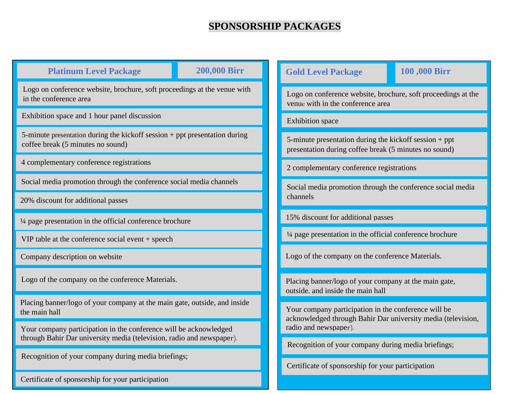## **SPONSORSHIP PACKAGES**

| <b>Platinum Level Package</b>                                                                                                              | <b>200,000 Birr</b>                                                                                                                                                                               | 100,000 Birr<br><b>Gold Level Package</b>                                                                         |  |
|--------------------------------------------------------------------------------------------------------------------------------------------|---------------------------------------------------------------------------------------------------------------------------------------------------------------------------------------------------|-------------------------------------------------------------------------------------------------------------------|--|
| Logo on conference website, brochure, soft proceedings at the venue with<br>in the conference area                                         |                                                                                                                                                                                                   | Logo on conference website, brochure, soft proceedings at the<br>venue with in the conference area                |  |
| Exhibition space and 1 hour panel discussion                                                                                               |                                                                                                                                                                                                   | <b>Exhibition</b> space                                                                                           |  |
| 5-minute presentation during the kickoff session + ppt presentation during<br>coffee break (5 minutes no sound)                            |                                                                                                                                                                                                   | 5-minute presentation during the kickoff session $+$ ppt<br>presentation during coffee break (5 minutes no sound) |  |
| 4 complementary conference registrations                                                                                                   |                                                                                                                                                                                                   | 2 complementary conference registrations                                                                          |  |
| Social media promotion through the conference social media channels<br>20% discount for additional passes                                  |                                                                                                                                                                                                   | Social media promotion through the conference social media<br>channels                                            |  |
|                                                                                                                                            |                                                                                                                                                                                                   |                                                                                                                   |  |
| $VIP$ table at the conference social event $+$ speech                                                                                      |                                                                                                                                                                                                   | 1/4 page presentation in the official conference brochure                                                         |  |
| Company description on website                                                                                                             |                                                                                                                                                                                                   | Logo of the company on the conference Materials.                                                                  |  |
| Logo of the company on the conference Materials.                                                                                           |                                                                                                                                                                                                   | Placing banner/logo of your company at the main gate,<br>outside, and inside the main hall                        |  |
| the main hall                                                                                                                              | Placing banner/logo of your company at the main gate, outside, and inside<br>Your company participation in the conference will be<br>acknowledged through Bahir Dar university media (television, |                                                                                                                   |  |
| Your company participation in the conference will be acknowledged<br>through Bahir Dar university media (television, radio and newspaper). |                                                                                                                                                                                                   | radio and newspaper).                                                                                             |  |
| Recognition of your company during media briefings;                                                                                        |                                                                                                                                                                                                   | Recognition of your company during media briefings;                                                               |  |
|                                                                                                                                            |                                                                                                                                                                                                   | Certificate of sponsorship for your participation                                                                 |  |

Certificate of sponsorship for your participation